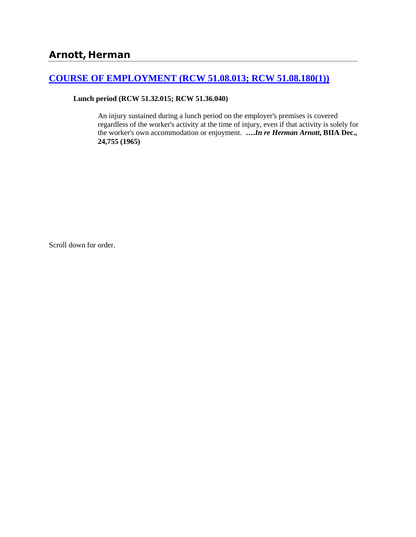# **[COURSE OF EMPLOYMENT \(RCW 51.08.013; RCW 51.08.180\(1\)\)](http://www.biia.wa.gov/SDSubjectIndex.html#COURSE_OF_EMPLOYMENT)**

**Lunch period (RCW 51.32.015; RCW 51.36.040)**

An injury sustained during a lunch period on the employer's premises is covered regardless of the worker's activity at the time of injury, even if that activity is solely for the worker's own accommodation or enjoyment. **….***In re Herman Arnott***, BIIA Dec., 24,755 (1965)**

Scroll down for order.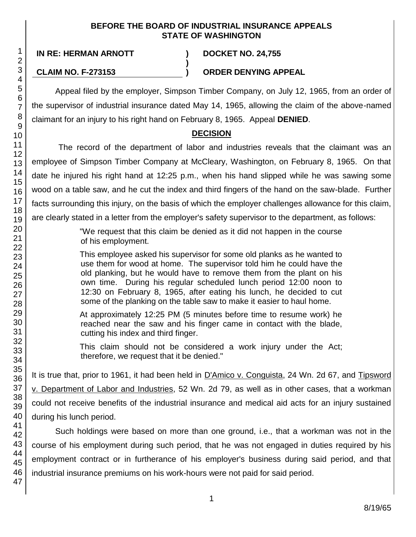#### **BEFORE THE BOARD OF INDUSTRIAL INSURANCE APPEALS STATE OF WASHINGTON**

47

## **IN RE: HERMAN ARNOTT ) DOCKET NO. 24,755**

### **CLAIM NO. F-273153 ) ORDER DENYING APPEAL**

**)**

Appeal filed by the employer, Simpson Timber Company, on July 12, 1965, from an order of the supervisor of industrial insurance dated May 14, 1965, allowing the claim of the above-named claimant for an injury to his right hand on February 8, 1965. Appeal **DENIED**.

# **DECISION**

The record of the department of labor and industries reveals that the claimant was an employee of Simpson Timber Company at McCleary, Washington, on February 8, 1965. On that date he injured his right hand at 12:25 p.m., when his hand slipped while he was sawing some wood on a table saw, and he cut the index and third fingers of the hand on the saw-blade. Further facts surrounding this injury, on the basis of which the employer challenges allowance for this claim, are clearly stated in a letter from the employer's safety supervisor to the department, as follows:

> "We request that this claim be denied as it did not happen in the course of his employment.

> This employee asked his supervisor for some old planks as he wanted to use them for wood at home. The supervisor told him he could have the old planking, but he would have to remove them from the plant on his own time. During his regular scheduled lunch period 12:00 noon to 12:30 on February 8, 1965, after eating his lunch, he decided to cut some of the planking on the table saw to make it easier to haul home.

> At approximately 12:25 PM (5 minutes before time to resume work) he reached near the saw and his finger came in contact with the blade, cutting his index and third finger.

> This claim should not be considered a work injury under the Act; therefore, we request that it be denied."

It is true that, prior to 1961, it had been held in D'Amico v. Conguista, 24 Wn. 2d 67, and Tipsword v. Department of Labor and Industries, 52 Wn. 2d 79, as well as in other cases, that a workman could not receive benefits of the industrial insurance and medical aid acts for an injury sustained during his lunch period.

Such holdings were based on more than one ground, i.e., that a workman was not in the course of his employment during such period, that he was not engaged in duties required by his employment contract or in furtherance of his employer's business during said period, and that industrial insurance premiums on his work-hours were not paid for said period.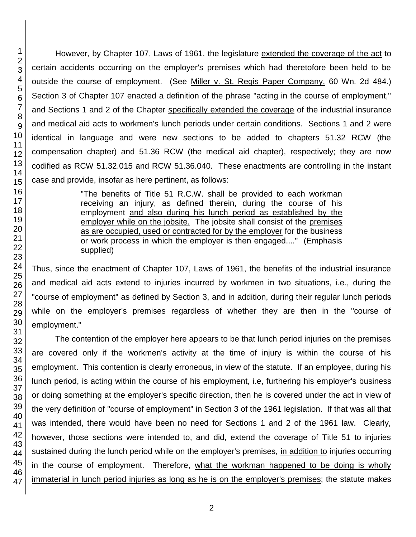However, by Chapter 107, Laws of 1961, the legislature extended the coverage of the act to certain accidents occurring on the employer's premises which had theretofore been held to be outside the course of employment. (See Miller v. St. Regis Paper Company, 60 Wn. 2d 484.) Section 3 of Chapter 107 enacted a definition of the phrase "acting in the course of employment," and Sections 1 and 2 of the Chapter specifically extended the coverage of the industrial insurance and medical aid acts to workmen's lunch periods under certain conditions. Sections 1 and 2 were identical in language and were new sections to be added to chapters 51.32 RCW (the compensation chapter) and 51.36 RCW (the medical aid chapter), respectively; they are now codified as RCW 51.32.015 and RCW 51.36.040. These enactments are controlling in the instant case and provide, insofar as here pertinent, as follows:

> "The benefits of Title 51 R.C.W. shall be provided to each workman receiving an injury, as defined therein, during the course of his employment and also during his lunch period as established by the employer while on the jobsite. The jobsite shall consist of the premises as are occupied, used or contracted for by the employer for the business or work process in which the employer is then engaged...." (Emphasis supplied)

Thus, since the enactment of Chapter 107, Laws of 1961, the benefits of the industrial insurance and medical aid acts extend to injuries incurred by workmen in two situations, i.e., during the "course of employment" as defined by Section 3, and in addition, during their regular lunch periods while on the employer's premises regardless of whether they are then in the "course of employment."

The contention of the employer here appears to be that lunch period injuries on the premises are covered only if the workmen's activity at the time of injury is within the course of his employment. This contention is clearly erroneous, in view of the statute. If an employee, during his lunch period, is acting within the course of his employment, i.e, furthering his employer's business or doing something at the employer's specific direction, then he is covered under the act in view of the very definition of "course of employment" in Section 3 of the 1961 legislation. If that was all that was intended, there would have been no need for Sections 1 and 2 of the 1961 law. Clearly, however, those sections were intended to, and did, extend the coverage of Title 51 to injuries sustained during the lunch period while on the employer's premises, in addition to injuries occurring in the course of employment. Therefore, what the workman happened to be doing is wholly immaterial in lunch period injuries as long as he is on the employer's premises; the statute makes

1